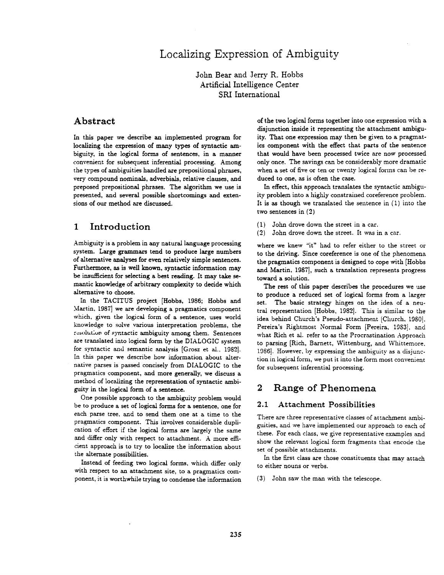# **Localizing Expression of Ambiguity**

**John Bear and Jerry R. Hobbs Artificial Intelligence Center SRI International** 

## **Abstract**

In this paper we describe an implemented program for localizing the expression of many types of syntactic ambiguity, in the logical forms of sentences, in a manner convenient for subsequent inferential processing. Among the types of ambiguities handled are prepositional phrases, very compound nominals, adverbials, relative clauses, and preposed prepositional phrases. The algorithm we use is presented, and several possible shortcomings and extensions of our method are discussed.

## **1 Introduction**

Ambiguity is a problem in any natural language processing system. Large grammars tend to produce large numbers of alternative analyses for even relatively simple sentences. Furthermore, as is well known, syntactic information may be insufficient for selecting a best reading. It may take semantic knowledge of arbitrary complexity to decide which alternative to choose.

In the TACITUS project [Hobbs, 1986; Hobbs and Martin, 1987] we are developing a pragmatics component which, given the logical form of a sentence, uses world knowledge to solve various interpretation problems, the resolution of syntactic ambiguity among them. Sentences are translated into logical form by the DIALOGIC system for syntactic and semantic analysis [Grosz et al., 1982]. In this paper we describe how information about alternative parses is passed concisely from DIALOGIC to the pragmatics component, and more generally, we discuss a method of localizing the representation of syntactic ambiguity in the logical form of a sentence.

One possible approach to the ambiguity problem would be to produce a set of logical forms for a sentence, one for each parse tree, and to send them one at a time to the pragrnatics component. This involves considerable duplication of effort if the logical forms are largely the same and differ only with respect to attachment. A more efficient approach is to try to localize the information about the alternate possibilities.

Instead of feeding two logical forms, which differ only with respect to an attachment site, to a pragmatics component, it is worthwhile trying to condense the information

of the two logical forms together into one expression with a disjunction inside it representing the attachment ambiguity. That one expression may then be given to a pragmatics component with the effect that parts of the sentence that would have been processed twice are now processed only once. The savings can be considerably more dramatic when a set of five or ten or twenty logical forms can be reduced to one, as is often the case.

In effect, this approach translates the syntactic ambiguity problem into a highly constrained coreference problem. It is as though we translated the sentence in (1) into the two sentences in (2)

- (1) John drove down the street in a car.
- (2) John drove down the street. It was in a car.

where we knew "it" had to refer either to the street or to the driving. Since coreference is one of the phenomena the pragmatics component is designed to cope with [Hobbs and Martin, 1987], such a translation represents progress toward a solution.

The rest of this paper describes the procedures we use to produce a reduced set of logical forms from a larger set. The basic strategy hinges on the idea of a neutral representation [Hobbs, 1982]. This is similar to the idea behind Church's Pseudo-attachment [Church, 1980]. Pereira's Rightmost Normal Form [Pereira, 1983], and what Rich et al. refer to as the Procrastination Approach to parsing [Rich, Barnett, Wittenburg, and Whittemore. 1986]. However, by expressing the ambiguity as a disjunction in logical form, we put it into the form most convenient for subsequent inferential processing.

# **2 Range of Phenomena**

## 2.1 Attachment Possibilities

There are three representative classes of attachment ambiguities, and we have implemented our approach :o each of these. For each class, we give representative examples and show the relevant logical form fragments that encode the set of possible attachments.

In the first class are those constituents that may attach to either nouns or verbs.

(3) John saw the man with the telescope.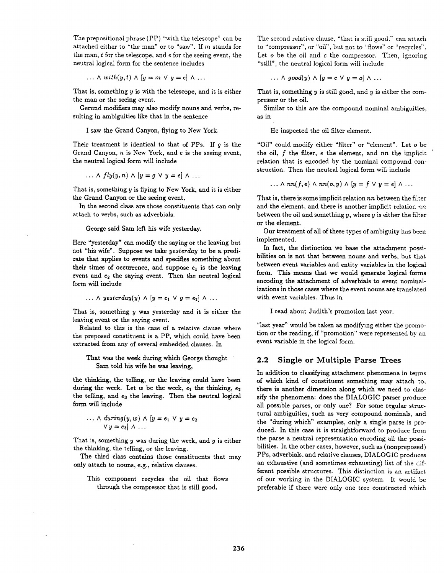The prepositional phrase (PP) "with the telescope" can be attached either to "the man" or to "saw". If m stands for the man, t for the telescope, and e for the seeing event, the neutral logical form for the sentence includes

$$
\ldots \wedge \ with(y, t) \wedge [y = m \vee y = e] \wedge \ldots
$$

That is, something  $y$  is with the telescope, and it is either the man or the seeing event.

Gerund modifiers may also modify nouns and verbs, resuiting in ambiguities like that in the sentence

I saw the Grand Canyon, flying to New York.

Their treatment is identical to that of PPs. If  $g$  is the Grand Canyon, n is New York, and e is the seeing event, the neutral logical form will include

$$
\ldots \wedge fly(y,n) \wedge [y=g \vee y=e] \wedge \ldots
$$

That is, something  $y$  is flying to New York, and it is either the Grand Canyon or the seeing event.

In the second class are those constituents that can only attach to verbs, such as adverbials.

#### George said Sara left his wife yesterday.

Here "yesterday" can modify the saying or the leaving but not "his wife". Suppose we take *yesterday* to be a predicate that applies to events and specifies something about their times of occurrence, and suppose  $e_1$  is the leaving event and  $e_2$  the saying event. Then the neutral logical form will include

... 
$$
\land
$$
 *yesterday*(*y*)  $\land$  [*y* = *e*<sub>1</sub>  $\lor$  *y* = *e*<sub>2</sub>]  $\land$  ...

That is, something  $y$  was yesterday and it is either the leaving event or the saying event.

Related to this is the case of a relative clause where the preposed constituent is a PP, which could have been extracted from any of several embedded clauses. In

That was the week during which George thought Sam told his wife he was leaving,

the thinking, the telling, or the leaving could have been during the week. Let  $w$  be the week,  $e_1$  the thinking,  $e_2$ the telling, and  $e_3$  the leaving. Then the neutral logical form will include

$$
\dots \wedge during(y, w) \wedge [y = e_1 \vee y = e_2
$$
  
 
$$
\vee y = e_3] \wedge \dots
$$

That is, something  $y$  was during the week, and  $y$  is either the thinking, the telling, or the leaving.

The third class contains those constituents that may only attach to nouns, e.g., relative clauses.

This component recycles the oil that flows through the compressor that is still good.

The second relative clause. "that is still good," can attach to "compressor", or "oil", but not to "flows" or "recycles". Let  $o$  be the oil and  $c$  the compressor. Then, ignoring "still", the neutral logical form will include

$$
\ldots \wedge \text{ good}(y) \wedge [y = c \vee y = o] \wedge \ldots
$$

That is, something  $y$  is still good, and  $y$  is either the compressor or the oil.

Similar to this are the compound nominal ambiguities, as in

He inspected the oil filter element.

"Oil" could modify either "filter" or "element". Let o be the oil, f the filter, e the element, and *nn* the implicit relation that is encoded by the nominal compound construction. Then the neutral logical form will include

$$
\ldots \wedge nn(f,e) \wedge nn(o,y) \wedge [y = f \vee y = e] \wedge \ldots
$$

That is, there is some implicit relation *nn* between the filter and the element, and there is another implicit relation *nn*  between the oil and something  $y$ , where  $y$  is either the filter or the element.

Our treatment of all of these types of ambiguity has been implemented.

In fact, the distinction we base the attachment possibilities on is not that between nouns and verbs, but that between event variables and entity variables in the logical form. This means that we would generate logical forms encoding the attachment of adverbials to event nominaiizations in those cases where the event nouns are translated with event variables. Thus in

I read about Judith's promotion last year.

"last year" would be taken as modifying either the promotion or the reading, if "promotion" were represented by an event variable in the logical form.

#### 2.2 Single or Multiple Parse Trees

In addition to classifying attachment phenomena in terms of which kind of constituent something may attach to, there is another dimension along which we need to classify the phenomena: does the DIALOGIC parser produce all possible parses, or only one? For some regular structural ambiguities, such as very compound nominals, and the "during which" examples, only a single parse is produced. In this case it is straightforward to produce from the parse a neutral representation encoding all the possibilities. In the other cases, however, such as (nonpreposed) PPs, adverbials, and relative clauses, DIALOGIC produces an exhaustive (and sometimes exhausting) list of the different possible structures. This distinction is an artifact of our working in the DIALOGIC system. It would be preferable if there were only one tree constructed which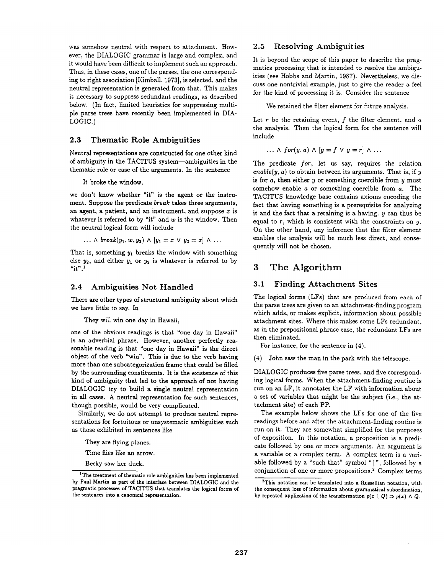was somehow neutral with respect to attachment. However, the DIALOGIC grammar is large and complex, and it would have been difficult to implement such an approach. Thus, in these cases, one of the parses, the one corresponding to right association [Kimball, 1973], is selected, and the neutral representation is generated from that. This makes it necessary to suppress redundant readings, as described below. (In fact, limited heuristics for suppressing multiple parse trees have recently been implemented in DIA-LOGIC.)

### **2.3 Thematic Role** Ambiguities

Neutral representations are constructed for one other kind of ambiguity in the TACITUS system--ambiguities in the thematic role or case of the arguments. In the sentence

It broke the window.

we don't know whether "it" is the agent or the instrument. Suppose the predicate *break* takes three arguments, an agent, a patient, and an instrument, and suppose  $x$  is whatever is referred to by "it" and  $w$  is the window. Then the neutral logical form will include

 $\ldots \wedge \text{break}(y_1, w, y_2) \wedge [y_1 = x \vee y_2 = x] \wedge \ldots$ 

That is, something  $y_1$  breaks the window with something else  $y_2$ , and either  $y_1$  or  $y_2$  is whatever is referred to by  $"$ it".<sup>1</sup>

### **2.4 Ambiguities Not Handled**

There are other types of structural ambiguity about which we have little to say. In

They will win one day in Hawaii,

one of the obvious readings is that "one day in Hawaii" is an adverbial phrase. However, another perfectly reasonable reading is that "one day in Hawaii" is the direct object of the verb "win". This is due to the verb having more than one subcategorization frame that could be filled by the surrounding constituents. It is the existence of this kind of ambiguity that led to the approach of not having DIALOGIC try to build a single neutral representation in all cases. A neutral representation for such sentences, though possible, would be very complicated.

Similarly, we do not attempt to produce neutral representations for fortuitous or unsystematic ambiguities such as those exhibited in sentences like

They are flying planes.

Time flies like an arrow.

Becky saw her duck.

### **2.5** Resolving Ambiguities

It is beyond the scope of this paper to describe the pragmatics processing that is intended to resolve the ambiguities (see Hobbs and Martin, 1987). Nevertheless, we discuss one nontrivial example, just to give the reader a feel for the kind of processing it is. Consider the sentence

We retained the filter element for future analysis.

Let  $r$  be the retaining event,  $f$  the filter element, and  $a$ the analysis. Then the logical form for the sentence will include

$$
\ldots \wedge \text{ for } (y, a) \wedge [y = f \vee y = r] \wedge \ldots
$$

The predicate *for,* let us say, requires the relation  $enable(y, a)$  to obtain between its arguments. That is, if y is for  $a$ , then either  $y$  or something coercible from  $y$  must somehow enable a or something coercible from a. The TACITUS knowledge base contains axioms encoding the fact that having something is a prerequisite for analyzing it and the fact that a retaining is a having,  $y$  can thus be equal to  $r$ , which is consistent with the constraints on  $y$ . On the other hand, any inference that the filter element enables the analysis will be much less direct, and consequently will not be chosen.

## 3 The Algorithm

### **3.1 Finding** Attachment Sites

The logical forms (LFs) that are produced from each of the parse trees are given to an attachment-finding program which adds, or makes explicit, information about possible attachment sites. Where this makes some LFs redundant, as in the prepositional phrase case, the redundant LFs are then eliminated.

For instance, for the sentence in (4),

(4) John saw the man in the park with the telescope.

DIALOGIC produces five parse trees, and five corresponding logical forms. When the attachment-finding routine is run on an LF, it annotates the LF with information about a set of variables that might be the subject (i.e., the attachment site) of each PP.

The example below shows the LFs for one of the five readings before and after the attachment-finding routine is run on it. They are somewhat simplified for the purposes of exposition. In this notation, a proposition is a predicate followed by one or more arguments. An argument is a variable or a complex term. A complex term is a variable followed by a "such that" symbol "[", followed by a conjunction of one or more propositions? Complex terms

<sup>&</sup>lt;sup>1</sup>The treatment of thematic role ambiguities has been implemented by Paul Martin as part of the interface between DIALOGIC and the **pragmatic** processes of TACITUS that translates the logical forms of the sentences into a canonical representation.

<sup>&</sup>lt;sup>2</sup>This notation can be translated into a Russellian notation, with the consequent loss of information about grammatical subordination, by repeated application of the transformation  $p(x | Q) \Rightarrow p(x) \land Q$ .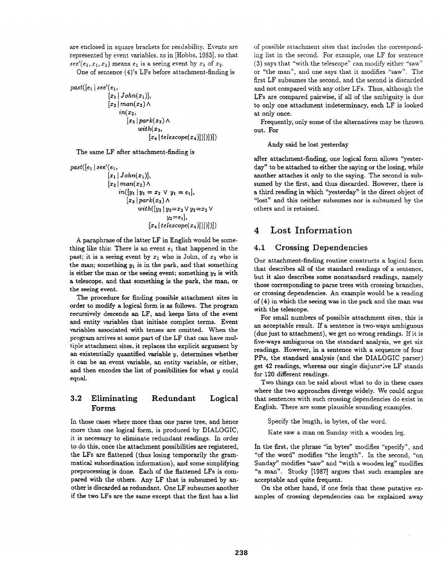are enclosed in square brackets for readability. Events are represented by event variables, as in [Hobbs, 1985], so that  $see'(e_1, x_1, x_2)$  means  $e_1$  is a seeing event by  $x_1$  of  $x_2$ .

One of sentence (4)'s LFs before attachment-finding is

$$
past([e_1 | see'(e_1, [x_1 | John(x_1)], [x_2 | man(x_2) \wedge in(x_2, [x_3 | park(x_3) \wedge with(x_3, [x_4 | telescope(x_4)])])])])
$$

#### The same LF after attachment-finding is

 $past([e_1 | see'(e_1,$  $[x_1 | John(x_1)],$  $[x_2 | man(x_2) \wedge$ <br>  $in([y_1 | y_1 = x_2 \vee y_1 = e_1],$  $[x_3 | park(x_3) \wedge$  $with(|y_2| |y_2=x_3 \vee y_2=x_2 \vee$  $y_2=e_1$ ,  $[x_4 | telescope(x_4)])])])])$ 

A paraphrase of the latter LF in English would be something like this: There is an event  $e_1$  that happened in the past; it is a seeing event by  $x_1$  who is John, of  $x_2$  who is the man; something  $y_1$  is in the park, and that something is either the man or the seeing event; something  $y_2$  is with a telescope, and that something is the park, the man, or the seeing event.

The procedure for finding possible attachment sites in order to modify a logical form is as follows. The program recursively descends an LF, and keeps lists of the event and entity variables that initiate complex terms. Event variables associated with tenses are omitted. When the program arrives at some part of the LF that can have multiple attachment sites, it replaces the explicit argument by an existentially quantified variable y, determines whether it can be an event variable, an entity variable, or either, and then encodes the list of possibilities for what  $y$  could equal.

## **3.2 Eliminating Redundant Logical**  Forms

In those cases where more than one parse tree, and hence more than one logical form, is produced by DIALOGIC, it is necessary to eliminate redundant readings. In order to do this, once the attachment possibilities are registered, the LFs are flattened (thus losing temporarily the grammatical subordination information), and some simplifying preprocessing is done. Each of the flattened LFs is compared with the others. Any LF that is subsumed by another is discarded as redundant. One LF subsumes another if the two LFs are the same except that the first has a list

of possible attachment sites that includes the corresponding list in the second. For example, one LF for sentence (3) says that "with the telescope" can modify either "'saw" or "the man", and one says that it modifies "saw". The first LF subsumes the second, and the second is discarded and not compared with any other LFs. Thus, although the LFs are compared pairwise, if all of the ambiguity is due to only one attachment indeterminacy, each LF is looked at only once.

Frequently, only some of the alternatives may be thrown out. For

#### Andy said he lost yesterday

affer attachment-finding, one logical form allows "yesterday" to be attached to either the saying or the losing, while another attaches it only to the saying. The second is subsumed by the first, and thus discarded. However, there is a third reading in which "yesterday" is the direct object of "lost" and this neither subsumes nor is subsumed by the others and is retained.

## **4 Lost Information**

### 4.1 Crossing Dependencies

Our attachment-finding routine constructs a logical form that describes all of the standard readings of a sentence, but it also describes some nonstandard readings, namely those corresponding to parse trees with crossing branches, or crossing dependencies. An example would be a reading of (4) in which the seeing was in the park and the man was with the telescope.

For small numbers of possible attachment sites, this is an acceptable result. If a sentence is two-ways ambiguous (due just to attachment), we get no wrong readings. If it is five-ways ambiguous on the standard analysis, we get six readings. However, in a sentence with a sequence of four PPs, the standard analysis (and the DIALOGIC parser) get 42 readings, whereas our single disjunctive LF stands for 120 different readings.

Two things can be said about what to do in these cases where the two approaches diverge widely. We could argue that sentences with such crossing dependencies do exist in English. There are some plausible sounding examples.

Specify the length, in bytes, of the word.

Kate saw a man on Sunday with a wooden leg.

In the first, the phrase "in bytes" modifies "specify", and "of the word" modifies "the length". In the second, "on Sunday" modifies "saw" and "with a wooden leg" modifies "a man". Stucky [1987] argues that such examples are acceptable and quite frequent.

On the other hand, if one feels that these putative examples of crossing dependencies can be explained away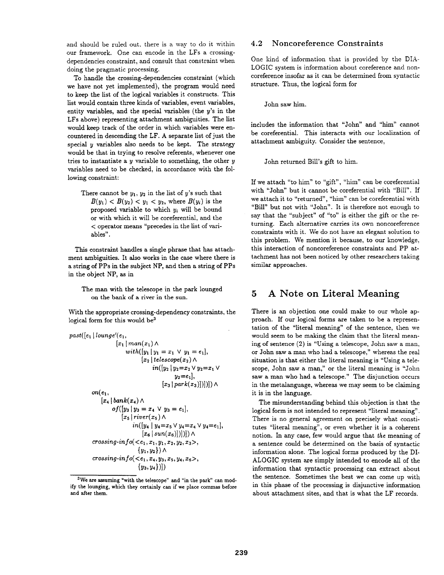and should be ruled out. there is a way to do it within our framework. One can encode in the LFs a crossingdependencies constraint, and consult that constraint when doing the pragmatic processing.

To handle the crossing-dependencies constraint (which we have not yet implemented), the program would need to keep the list of the logical variables it constructs. This list would contain three kinds of variables, event variables, entity variables, and the special variables (the y's in the LFs above) representing attachment ambiguities. The list would keep track of the order in which variables were encountered in descending the LF. A separate list of just the special y variables also needs to be kept. The strategy would be that in trying to resolve referents, whenever one tries to instantiate a y variable to something, the other  $y$ variables need to be checked, in accordance with the following constraint:

There cannot be  $y_1, y_2$  in the list of y's such that  $B(y_1) < B(y_2) < y_1 < y_2$ , where  $B(y_i)$  is the proposed variable to which  $y_i$  will be bound or with which it will be coreferential, and the < operator means "precedes in the list of variables".

This constraint handles a single phrase that has attachment ambiguities. It also works in the case where there is a string of PPs in the subject NP, and then a string of PPs in the object NP, as in

The man with the telescope in the park lounged on the bank of a river in the sun.

With the appropriate crossing-dependency constraints, the logical form for this would be<sup>3</sup>

```
past([e_1 | lounge'(e_1,[x_1 \mid man(x_1) \landwith([y_1 | y_1 = x_1 \vee y_1 = e_1],[x_2 | telescope(x_2) \wedgein([y_2 | y_2=x_2 \vee y_2=x_1 \veey_2=e_1,
                                                    [x_3 | park(x_3)])])]) \wedgeon(e_1,[x_4 | bank(x_4) \wedgeof([y_3 | y_3 = x_4 \vee y_3 = e_1],[x_5 | river(x_5) \wedgein([y_4 | y_4=x_5 \vee y_4=x_4 \vee y_4=e_1],[x_6 | sin(x_6)])])])<br>\wedgecrossing-info(<i>e</i><sub>1</sub>, <i>x</i><sub>1</sub>, <i>y</i><sub>1</sub>, <i>x</i><sub>2</sub>, <i>y</i><sub>2</sub>, <i>x</i><sub>3</sub>),
                                      {y_1, y_2} \wedgecrossing-in f o( < el , x 4, Ys, Xs, Y4, xs> , 
                                      {y_3, y_4})]
```
## 4.2 Noncoreference Constraints

One kind of information that is provided by the DIA-LOGIC system is information about coreference and noncoreference insofar as it can be determined from syntactic structure. Thus, the logical form for

John saw him.

includes the information that "John" and "him" cannot be coreferential. This interacts with our localization of attachment ambiguity. Consider the sentence,

John returned Bill's gift to him.

If we attach "to him" to "gift", "him" can be coreferential with "John" but it cannot be coreferential with "Bill". If we attach it to "returned", "him" can be coreferential with "Bill" but not with "John". It is therefore not enough to say that the "subject" of "to" is either the gift or the returning. Each alternative carries its own noncoreference constraints with it. We do not have an elegant solution to this problem. We mention it because, to our knowledge, this interaction of noncoreference constraints and PP attachment has not been noticed by other researchers taking similar approaches.

## **5 A Note on Literal Meaning**

There is an objection one could make to our whole approach. If our logical forms are taken to be a representation of the "literal meaning" of the sentence, then we would seem to be making the claim that the literal meaning of sentence (2) is "Using a telescope, John saw a man, or John saw a man who had a telescope," whereas the real situation is that either the literal meaning is "Using a telescope, John saw a man," or the literal meaning is "John saw a man who had a telescope." The disjunction occurs in the metalanguage, whereas we may seem to be claiming it is in the language.

The misunderstanding behind this objection is that the logical form is not intended to represent "literal meaning". There is no general agreement on precisely what constitutes "literal meaning", or even whether it is a coherent notion. In any case, few would argue that the meaning of a sentence could be determined on the basis of syntactic information alone. The logical forms produced by the DI-ALOGIC system are simply intended to encode all of the information that syntactic processing can extract about the sentence. Sometimes the best we can come up with in this phase of the processing is disjunctive information about attachment sites, and that is what the LF records.

<sup>&</sup>lt;sup>3</sup>We are assuming "with the telescope" and "in the park" can modify the lounging, which they certainly can if we place commas before and after them.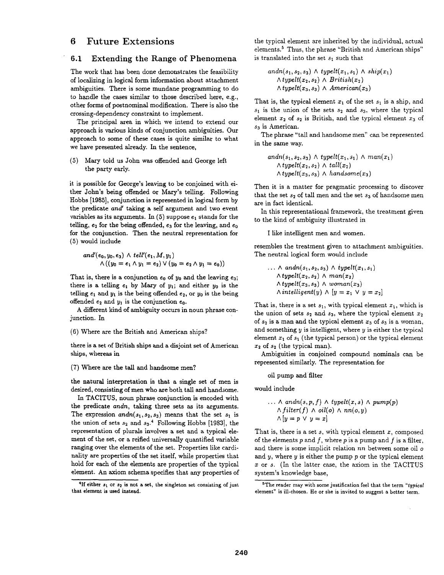## **6 Future Extensions**

### **6.1 Extending the Range of Phenomena**

The work that has been done demonstrates the feasibility of localizing in logical form information about attachment ambiguities. There is some mundane programming to do to handle the cases similar to those described here, e.g., other forms of postnominai modification. There is also the crossing-dependency constraint to implement.

The principal area in which we intend to extend our approach is various kinds of conjunction ambiguities. Our approach to some of these cases is quite similar to what we have presented already. In the sentence,

(5) Mary told us John was offended and George left the party early.

it is possible for George's leaving to be conjoined with either John's being offended or Mary's telling. Following Hobbs [1985], conjunction is represented in logical form by the predicate *and'* taking a self argument and two event variables as its arguments. In  $(5)$  suppose  $e_1$  stands for the telling,  $e_2$  for the being offended,  $e_3$  for the leaving, and  $e_0$ for the conjunction. Then the neutral representation for (5) would include

$$
and'(e_0, y_0, e_3) \wedge tell'(e_1, M, y_1)
$$
  
 
$$
\wedge ((y_0 = e_1 \wedge y_1 = e_2) \vee (y_0 = e_2 \wedge y_1 = e_0))
$$

That is, there is a conjunction  $e_0$  of  $y_0$  and the leaving  $e_3$ ; there is a telling  $e_1$  by Mary of  $y_1$ ; and either  $y_0$  is the telling  $e_1$  and  $y_1$  is the being offended  $e_2$ , or  $y_0$  is the being offended  $e_2$  and  $y_1$  is the conjunction  $e_0$ .

A different kind of ambiguity occurs in noun phrase conjunction. In

#### (6) Where are the British and American ships?

there is a set of British ships and a disjoint set of American ships, whereas in

#### (7) Where are the tall and handsome men?

the natural interpretation is that a single set of men is desired, consisting of men who are both tall and handsome.

In TACITUS, noun phrase conjunction is encoded with the predicate *andn,* taking three sets as its arguments. The expression  $and n(s_1, s_2, s_3)$  means that the set  $s_1$  is the union of sets  $s_2$  and  $s_3$ .<sup>4</sup> Following Hobbs [1983], the representation of plurals involves a set and a typical element of the set, or a reified universally quantified variable ranging over the elements of the set. Properties like cardinality are properties of the set itself, while properties that hold for each of the elements are properties of the typical element. An axiom schema specifies that any properties of the typical element are inherited by the individual, actual elements.<sup>5</sup> Thus, the phrase "British and American ships" is translated into the set  $s_1$  such that

$$
and n(s_1, s_2, s_3) \wedge typelt(x_1, s_1) \wedge ship(x_1)
$$
  
\n
$$
\wedge typelt(x_2, s_2) \wedge British(x_2)
$$
  
\n
$$
\wedge typelt(x_3, s_3) \wedge American(x_3)
$$

That is, the typical element  $x_1$  of the set  $s_1$  is a ship, and  $s_1$  is the union of the sets  $s_2$  and  $s_3$ , where the typical element  $x_2$  of  $s_2$  is British, and the typical element  $x_3$  of  $s_3$  is American.

The phrase "tall and handsome men" can be represented in the same way.

 $and n(s_1,s_2,s_3) \wedge typelt(x_1,s_1) \wedge man(x_1)$  $\wedge \text{typelt}(x_2, s_2) \wedge \text{tall}(x_2)$  $\wedge typelt(x_3, s_3) \wedge handleome(x_3)$ 

Then it is a matter for pragmatic processing to discover that the set  $s_2$  of tall men and the set  $s_3$  of handsome men are in fact identical.

In this representational framework, the treatment given to the kind of ambiguity illustrated in

I like intelligent men and women.

resembles the treatment given to attachment ambiguities. The neutral logical form would include

 $\ldots \wedge$  andn(s<sub>1</sub>, s<sub>2</sub>, s<sub>3</sub>)  $\wedge$  *typelt*(x<sub>1</sub>, s<sub>1</sub>)  $\wedge \textit{typelt}(x_2, s_2) \wedge \textit{man}(x_2)$  $\wedge \textit{typelt}(x_3, s_3) \wedge \textit{woman}(x_3)$  $\land$ *intelligent*(y)  $\land$  [y = x<sub>1</sub>  $\lor$  y = x<sub>2</sub>]

That is, there is a set  $s_1$ , with typical element  $x_1$ , which is the union of sets  $s_2$  and  $s_3$ , where the typical element  $x_2$ of  $s_2$  is a man and the typical element  $x_3$  of  $s_3$  is a woman, and something  $y$  is intelligent, where  $y$  is either the typical element  $x_1$  of  $s_1$  (the typical person) or the typical element  $x_2$  of  $s_2$  (the typical man).

Ambiguities in conjoined compound nominals can be represented similarly. The representation for

oil pump and filter

would include

$$
\dots \wedge \text{andn}(s, p, f) \wedge \text{typelt}(x, s) \wedge \text{pump}(p)
$$
  
 
$$
\wedge \text{filter}(f) \wedge \text{oil}(o) \wedge \text{nn}(o, y)
$$
  
 
$$
\wedge [y = p \vee y = x]
$$

That is, there is a set  $s$ , with typical element  $x$ , composed of the elements  $p$  and  $f$ , where  $p$  is a pump and  $f$  is a filter, and there is some implicit relation *nn* between some oil o and  $y$ , where  $y$  is either the pump  $p$  or the typical element x or s. (In the latter case, the axiom in the TACITUS system's knowledge base,

<sup>&</sup>lt;sup>4</sup>If either  $s_1$  or  $s_2$  is not a set, the singleton set consisting of just that element is used instead.

<sup>5</sup>The reader may with some justification feel that the term *"typical*  element" is ill-chosen. He or she is invited to suggest a better term.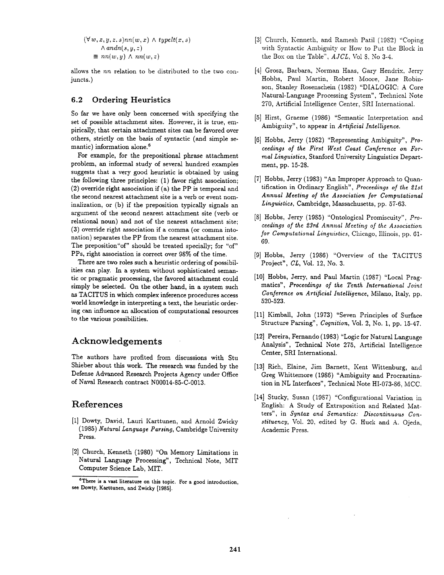$$
(\forall w, x, y, z, s)nn(w, x) \land typelt(x, s)
$$
  
 
$$
\land andn(s, y, z)
$$
  

$$
\equiv nn(w, y) \land nn(w, z)
$$

allows the *nn* relation to be distributed to the two conjuncts.)

## **6.2** Ordering Heuristics

So far we have only been concerned with specifying the set of possible attachment sites. However, it is true, empirically, that certain attachment sites can be favored over others, strictly on the basis of syntactic (and simple semantic) information alone. $6$ 

For example, for the prepositional phrase attachment problem, an informal study of several hundred examples suggests that a very good heuristic is obtained by using the following three principles: (1) favor right association; (2) override right association if (a) the PP is temporal and the second nearest attachment site is a verb or event nominalization, or (b) if the preposition typically signals an argument of the second nearest attachment site (verb or relational noun) and not of the nearest attachment site; (3) override right association if a comma (or comma intonation) separates the PP from the nearest attachment site. The preposition"of" should be treated specially; for "of" PPs, right association is correct over 98% of the time.

There are two roles such a heuristic ordering of possibilities can play. In a system without sophisticated semantic or pragmatic processing, the favored attachment could simply be selected. On the other hand, in a system such as TACITUS in which complex inference procedures access world knowledge in interpreting a text, the heuristic ordering can influence an allocation of computational resources to the various possibilities.

## **Acknowledgements**

The authors have profited from discussions with Stu Shieber about this work. The research was funded by the Defense Advanced Research Projects Agency under Office of Naval Research contract N00014-85-C-0013.

## **References**

- [1] Dowty, David, Lauri Karttunen, and Arnold Zwicky (1985) *Natural Language Parsing,* Cambridge University Press.
- [2] Church, Kenneth (1980) "On Memory Limitations in Natural Language Processing", Technical Note, MIT Computer Science Lab, MIT.
- [3] Church, Kenneth, and Ramesh Patil (1982) "Coping with Syntactic Ambiguity or How to Put the Block in the Box on the Table", *AJCL,* Voi 8, No 3-4.
- [4] Grosz, Barbara, Norman Haas, Gary Hendrix, Jerry Hobbs, Paul Martin, Robert Moore, Jane Robinson, Stanley Rosenschein (1982) "DIALOGIC: A Core Natural-Language Processing System", Technical Note 270, Artificial Intelligence Center, SRI International.
- [5] Hirst, Graeme (1986) "Semantic Interpretation and Ambiguity", to appear in *Artificial Intelligence.*
- [6] Hobbs, Jerry (1982) "Representing Ambiguity", *Proceedings of the First West Coast Conference on Formal Linguistics,* Stanford University Linguistics Department, pp. 15-28.
- [7] Hobbs, Jerry (1983) "An Improper Approach to Quantification in Ordinary English", *Proceedings of the 21st Annual Meeting of the Association for Computational Linguistics,* Cambridge, Massachusetts, pp. 57-63.
- [8] Hobbs, Jerry (1985) "Ontological Promiscuity", *Proceedings of the 23rd Annual Meeting of the Association for Computational Linguistics,* Chicago, Illinois, pp. 61- 69.
- [9] Hobbs, Jerry (1986) "Overview of the TACITUS Project", *CL,* Vol. 12, No. 3.
- [10] Hobbs, Jerry, and Paul Martin (1987) "Local Pragmatics", *Proceedings of the Tenth International Joint Conference on Artificial Intelligence,* Milano, Italy, pp. 520-523.
- [11] Kimball, John (1973) "Seven Principles of Surface Structure Parsing", *Cognition,* Vol. 2, No. 1, pp. 15-47.
- [12] Pereira, Fernando (1983) "Logic for Natural Language Analysis", Technical Note 275, Artificial Intelligence Center, SRI International.
- [13] Rich, Elaine, Jim Barnett, Kent Wittenburg, and Greg Whittemore (1986) "Ambiguity and Procrastination in NL Interfaces", Technical Note HI-073-86, MCC.
- [14] Stucky, Susan (1987) "Configurational Variation in English: A Study of Extraposition and Related Matters", in *Syntax and Semantics: Discontinuous Constituency,* Vol. 20, edited by G. Huck and A. Ojeda, Academic Press.

 $6$ There is a vast literature on this topic. For a good introduction, see Dowty, Karttunen, and Zwicky [1985].